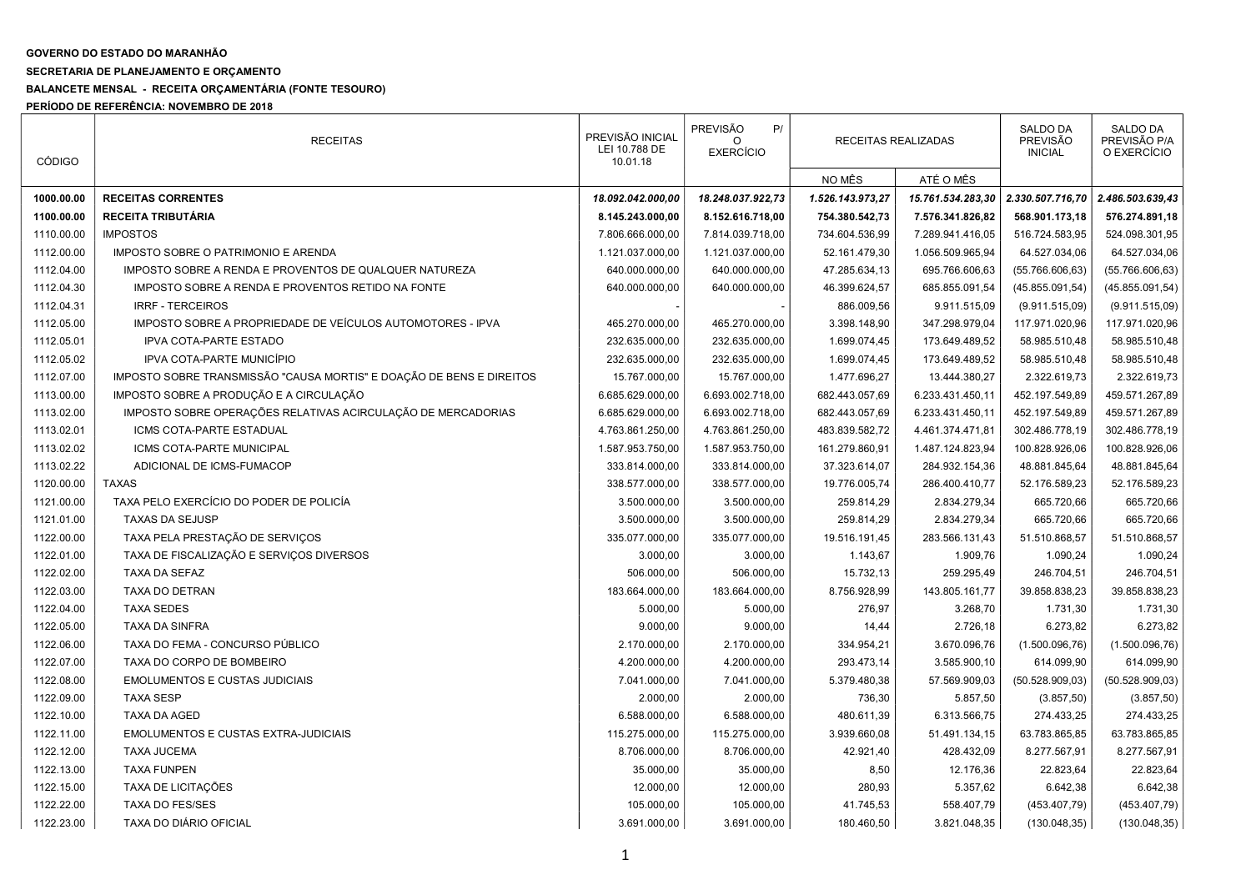## GOVERNO DO ESTADO DO MARANHÃO

## SECRETARIA DE PLANEJAMENTO E ORÇAMENTO

## BALANCETE MENSAL - RECEITA ORÇAMENTÁRIA (FONTE TESOURO)

PERÍODO DE REFERÊNCIA: NOVEMBRO DE 2018

| <b>CÓDIGO</b> | <b>RECEITAS</b>                                                      | PREVISÃO INICIAL<br>LEI 10.788 DE<br>10.01.18 | <b>PREVISÃO</b><br>P/<br><b>EXERCÍCIO</b> | RECEITAS REALIZADAS |                   | <b>SALDO DA</b><br><b>PREVISÃO</b><br><b>INICIAL</b> | <b>SALDO DA</b><br>PREVISÃO P/A<br>O EXERCÍCIO |
|---------------|----------------------------------------------------------------------|-----------------------------------------------|-------------------------------------------|---------------------|-------------------|------------------------------------------------------|------------------------------------------------|
|               |                                                                      |                                               |                                           | NO MÊS              | ATÉ O MÊS         |                                                      |                                                |
| 1000.00.00    | <b>RECEITAS CORRENTES</b>                                            | 18.092.042.000,00                             | 18.248.037.922,73                         | 1.526.143.973,27    | 15.761.534.283,30 | 2.330.507.716,70                                     | 2.486.503.639,43                               |
| 1100.00.00    | <b>RECEITA TRIBUTÁRIA</b>                                            | 8.145.243.000,00                              | 8.152.616.718,00                          | 754.380.542,73      | 7.576.341.826,82  | 568.901.173,18                                       | 576.274.891,18                                 |
| 1110.00.00    | <b>IMPOSTOS</b>                                                      | 7.806.666.000,00                              | 7.814.039.718,00                          | 734.604.536,99      | 7.289.941.416,05  | 516.724.583,95                                       | 524.098.301,95                                 |
| 1112.00.00    | IMPOSTO SOBRE O PATRIMONIO E ARENDA                                  | 1.121.037.000,00                              | 1.121.037.000,00                          | 52.161.479,30       | 1.056.509.965,94  | 64.527.034,06                                        | 64.527.034,06                                  |
| 1112.04.00    | IMPOSTO SOBRE A RENDA E PROVENTOS DE QUALQUER NATUREZA               | 640.000.000,00                                | 640.000.000,00                            | 47.285.634,13       | 695.766.606,63    | (55.766.606, 63)                                     | (55.766.606, 63)                               |
| 1112.04.30    | IMPOSTO SOBRE A RENDA E PROVENTOS RETIDO NA FONTE                    | 640.000.000,00                                | 640.000.000,00                            | 46.399.624,57       | 685.855.091,54    | (45.855.091,54)                                      | (45.855.091,54)                                |
| 1112.04.31    | <b>IRRF - TERCEIROS</b>                                              |                                               |                                           | 886.009,56          | 9.911.515,09      | (9.911.515,09)                                       | (9.911.515,09)                                 |
| 1112.05.00    | IMPOSTO SOBRE A PROPRIEDADE DE VEÍCULOS AUTOMOTORES - IPVA           | 465.270.000,00                                | 465.270.000,00                            | 3.398.148,90        | 347.298.979,04    | 117.971.020,96                                       | 117.971.020,96                                 |
| 1112.05.01    | <b>IPVA COTA-PARTE ESTADO</b>                                        | 232.635.000,00                                | 232.635.000,00                            | 1.699.074,45        | 173.649.489,52    | 58.985.510,48                                        | 58.985.510,48                                  |
| 1112.05.02    | IPVA COTA-PARTE MUNICÍPIO                                            | 232.635.000,00                                | 232.635.000,00                            | 1.699.074,45        | 173.649.489,52    | 58.985.510,48                                        | 58.985.510,48                                  |
| 1112.07.00    | IMPOSTO SOBRE TRANSMISSÃO "CAUSA MORTIS" E DOAÇÃO DE BENS E DIREITOS | 15.767.000,00                                 | 15.767.000,00                             | 1.477.696,27        | 13.444.380,27     | 2.322.619,73                                         | 2.322.619,73                                   |
| 1113.00.00    | IMPOSTO SOBRE A PRODUÇÃO E A CIRCULAÇÃO                              | 6.685.629.000,00                              | 6.693.002.718,00                          | 682.443.057,69      | 6.233.431.450,11  | 452.197.549,89                                       | 459.571.267,89                                 |
| 1113.02.00    | IMPOSTO SOBRE OPERAÇÕES RELATIVAS ACIRCULAÇÃO DE MERCADORIAS         | 6.685.629.000,00                              | 6.693.002.718,00                          | 682.443.057,69      | 6.233.431.450,11  | 452.197.549,89                                       | 459.571.267,89                                 |
| 1113.02.01    | ICMS COTA-PARTE ESTADUAL                                             | 4.763.861.250,00                              | 4.763.861.250,00                          | 483.839.582,72      | 4.461.374.471,81  | 302.486.778,19                                       | 302.486.778,19                                 |
| 1113.02.02    | ICMS COTA-PARTE MUNICIPAL                                            | 1.587.953.750,00                              | 1.587.953.750,00                          | 161.279.860,91      | 1.487.124.823,94  | 100.828.926,06                                       | 100.828.926,06                                 |
| 1113.02.22    | ADICIONAL DE ICMS-FUMACOP                                            | 333.814.000,00                                | 333.814.000,00                            | 37.323.614,07       | 284.932.154,36    | 48.881.845,64                                        | 48.881.845,64                                  |
| 1120.00.00    | <b>TAXAS</b>                                                         | 338.577.000,00                                | 338.577.000,00                            | 19.776.005,74       | 286.400.410,77    | 52.176.589,23                                        | 52.176.589,23                                  |
| 1121.00.00    | TAXA PELO EXERCÍCIO DO PODER DE POLICÍA                              | 3.500.000,00                                  | 3.500.000,00                              | 259.814,29          | 2.834.279,34      | 665.720,66                                           | 665.720,66                                     |
| 1121.01.00    | <b>TAXAS DA SEJUSP</b>                                               | 3.500.000,00                                  | 3.500.000,00                              | 259.814,29          | 2.834.279,34      | 665.720,66                                           | 665.720,66                                     |
| 1122.00.00    | TAXA PELA PRESTAÇÃO DE SERVIÇOS                                      | 335.077.000,00                                | 335.077.000,00                            | 19.516.191,45       | 283.566.131,43    | 51.510.868,57                                        | 51.510.868,57                                  |
| 1122.01.00    | TAXA DE FISCALIZAÇÃO E SERVIÇOS DIVERSOS                             | 3.000,00                                      | 3.000,00                                  | 1.143,67            | 1.909,76          | 1.090,24                                             | 1.090,24                                       |
| 1122.02.00    | TAXA DA SEFAZ                                                        | 506.000,00                                    | 506.000,00                                | 15.732,13           | 259.295,49        | 246.704,51                                           | 246.704,51                                     |
| 1122.03.00    | TAXA DO DETRAN                                                       | 183.664.000,00                                | 183.664.000,00                            | 8.756.928,99        | 143.805.161,77    | 39.858.838,23                                        | 39.858.838,23                                  |
| 1122.04.00    | <b>TAXA SEDES</b>                                                    | 5.000,00                                      | 5.000,00                                  | 276,97              | 3.268,70          | 1.731,30                                             | 1.731,30                                       |
| 1122.05.00    | <b>TAXA DA SINFRA</b>                                                | 9.000,00                                      | 9.000,00                                  | 14,44               | 2.726,18          | 6.273,82                                             | 6.273,82                                       |
| 1122.06.00    | TAXA DO FEMA - CONCURSO PÚBLICO                                      | 2.170.000,00                                  | 2.170.000,00                              | 334.954,21          | 3.670.096,76      | (1.500.096, 76)                                      | (1.500.096, 76)                                |
| 1122.07.00    | TAXA DO CORPO DE BOMBEIRO                                            | 4.200.000,00                                  | 4.200.000,00                              | 293.473,14          | 3.585.900,10      | 614.099,90                                           | 614.099,90                                     |
| 1122.08.00    | <b>EMOLUMENTOS E CUSTAS JUDICIAIS</b>                                | 7.041.000,00                                  | 7.041.000,00                              | 5.379.480,38        | 57.569.909,03     | (50.528.909,03)                                      | (50.528.909,03)                                |
| 1122.09.00    | <b>TAXA SESP</b>                                                     | 2.000,00                                      | 2.000,00                                  | 736,30              | 5.857,50          | (3.857, 50)                                          | (3.857, 50)                                    |
| 1122.10.00    | <b>TAXA DA AGED</b>                                                  | 6.588.000,00                                  | 6.588.000,00                              | 480.611,39          | 6.313.566,75      | 274.433,25                                           | 274.433,25                                     |
| 1122.11.00    | EMOLUMENTOS E CUSTAS EXTRA-JUDICIAIS                                 | 115.275.000,00                                | 115.275.000,00                            | 3.939.660,08        | 51.491.134,15     | 63.783.865,85                                        | 63.783.865,85                                  |
| 1122.12.00    | <b>TAXA JUCEMA</b>                                                   | 8.706.000,00                                  | 8.706.000,00                              | 42.921,40           | 428.432,09        | 8.277.567,91                                         | 8.277.567,91                                   |
| 1122.13.00    | <b>TAXA FUNPEN</b>                                                   | 35.000,00                                     | 35.000,00                                 | 8,50                | 12.176,36         | 22.823,64                                            | 22.823,64                                      |
| 1122.15.00    | TAXA DE LICITAÇÕES                                                   | 12.000,00                                     | 12.000,00                                 | 280,93              | 5.357,62          | 6.642,38                                             | 6.642,38                                       |
| 1122.22.00    | <b>TAXA DO FES/SES</b>                                               | 105.000,00                                    | 105.000,00                                | 41.745,53           | 558.407,79        | (453.407,79)                                         | (453.407,79)                                   |
| 1122.23.00    | TAXA DO DIÁRIO OFICIAL                                               | 3.691.000,00                                  | 3.691.000,00                              | 180.460,50          | 3.821.048,35      | (130.048, 35)                                        | (130.048, 35)                                  |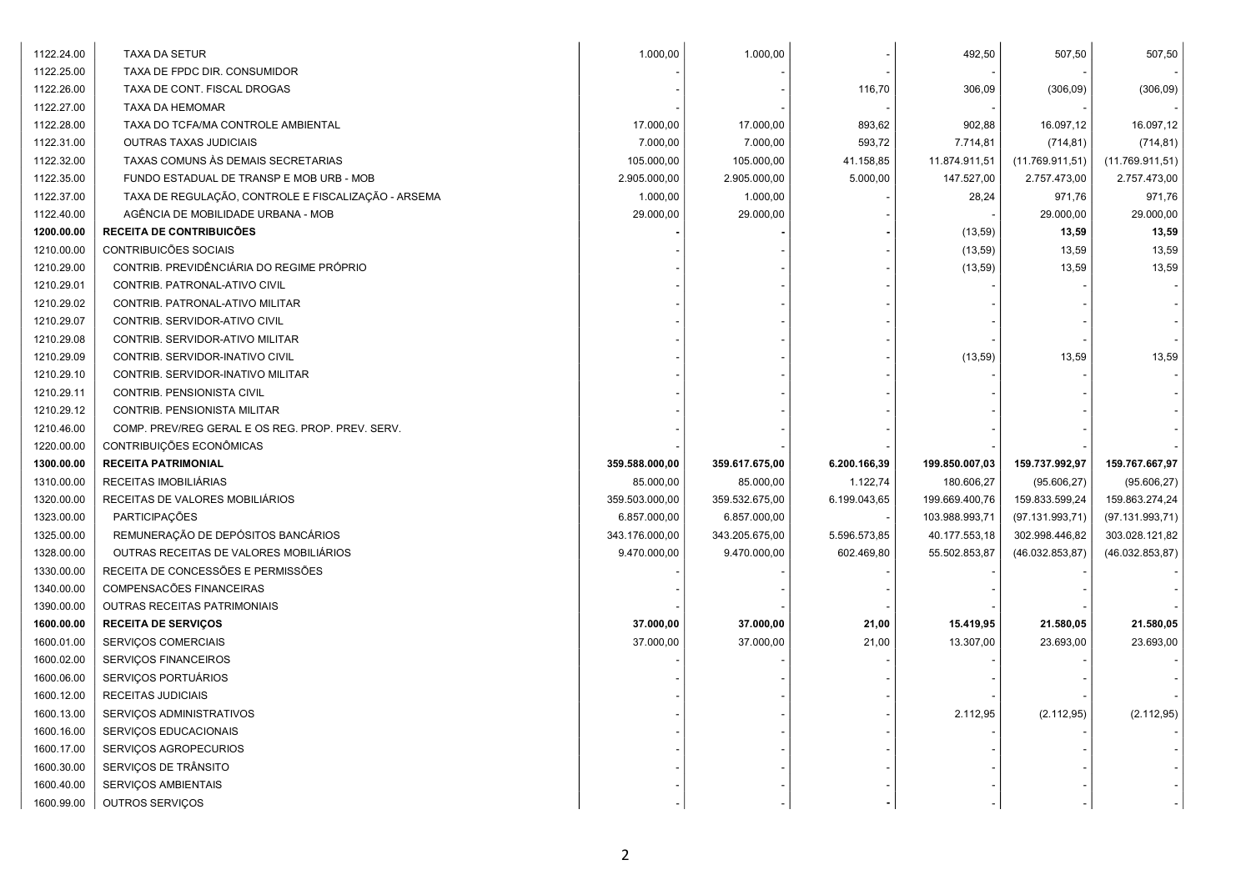| 1122.24.00 | TAXA DA SETUR                                       | 1.000,00       | 1.000,00       |              | 492,50         | 507,50           | 507,50          |
|------------|-----------------------------------------------------|----------------|----------------|--------------|----------------|------------------|-----------------|
| 1122.25.00 | TAXA DE FPDC DIR. CONSUMIDOR                        |                |                |              |                |                  |                 |
| 1122.26.00 | TAXA DE CONT. FISCAL DROGAS                         |                |                | 116,70       | 306,09         | (306,09)         | (306, 09)       |
| 1122.27.00 | TAXA DA HEMOMAR                                     |                |                |              |                |                  |                 |
| 1122.28.00 | TAXA DO TCFA/MA CONTROLE AMBIENTAL                  | 17.000,00      | 17.000,00      | 893,62       | 902,88         | 16.097,12        | 16.097,12       |
| 1122.31.00 | <b>OUTRAS TAXAS JUDICIAIS</b>                       | 7.000,00       | 7.000,00       | 593,72       | 7.714,81       | (714, 81)        | (714, 81)       |
| 1122.32.00 | TAXAS COMUNS ÀS DEMAIS SECRETARIAS                  | 105.000,00     | 105.000,00     | 41.158,85    | 11.874.911,51  | (11.769.911, 51) | (11.769.911,51) |
| 1122.35.00 | FUNDO ESTADUAL DE TRANSP E MOB URB - MOB            | 2.905.000,00   | 2.905.000,00   | 5.000,00     | 147.527,00     | 2.757.473,00     | 2.757.473,00    |
| 1122.37.00 | TAXA DE REGULAÇÃO, CONTROLE E FISCALIZAÇÃO - ARSEMA | 1.000,00       | 1.000,00       |              | 28,24          | 971,76           | 971,76          |
| 1122.40.00 | AGÊNCIA DE MOBILIDADE URBANA - MOB                  | 29.000,00      | 29.000,00      |              |                | 29.000,00        | 29.000,00       |
| 1200.00.00 | <b>RECEITA DE CONTRIBUICÕES</b>                     |                |                |              | (13, 59)       | 13,59            | 13,59           |
| 1210.00.00 | CONTRIBUICÕES SOCIAIS                               |                |                |              | (13, 59)       | 13,59            | 13,59           |
| 1210.29.00 | CONTRIB. PREVIDÊNCIÁRIA DO REGIME PRÓPRIO           |                |                |              | (13, 59)       | 13,59            | 13,59           |
| 1210.29.01 | CONTRIB. PATRONAL-ATIVO CIVIL                       |                |                |              |                |                  |                 |
| 1210.29.02 | CONTRIB. PATRONAL-ATIVO MILITAR                     |                |                |              |                |                  |                 |
| 1210.29.07 | CONTRIB. SERVIDOR-ATIVO CIVIL                       |                |                |              |                |                  |                 |
| 1210.29.08 | CONTRIB. SERVIDOR-ATIVO MILITAR                     |                |                |              |                |                  |                 |
| 1210.29.09 | CONTRIB. SERVIDOR-INATIVO CIVIL                     |                |                |              | (13, 59)       | 13,59            | 13,59           |
| 1210.29.10 | CONTRIB. SERVIDOR-INATIVO MILITAR                   |                |                |              |                |                  |                 |
| 1210.29.11 | CONTRIB. PENSIONISTA CIVIL                          |                |                |              |                |                  |                 |
| 1210.29.12 | CONTRIB. PENSIONISTA MILITAR                        |                |                |              |                |                  |                 |
| 1210.46.00 | COMP. PREV/REG GERAL E OS REG. PROP. PREV. SERV.    |                |                |              |                |                  |                 |
| 1220.00.00 | CONTRIBUIÇÕES ECONÔMICAS                            |                |                |              |                |                  |                 |
| 1300.00.00 | <b>RECEITA PATRIMONIAL</b>                          | 359.588.000,00 | 359.617.675,00 | 6.200.166,39 | 199.850.007,03 | 159.737.992,97   | 159.767.667,97  |
| 1310.00.00 | RECEITAS IMOBILIÁRIAS                               | 85.000,00      | 85.000,00      | 1.122,74     | 180.606,27     | (95.606, 27)     | (95.606, 27)    |
| 1320.00.00 | RECEITAS DE VALORES MOBILIÁRIOS                     | 359.503.000,00 | 359.532.675,00 | 6.199.043,65 | 199.669.400,76 | 159.833.599,24   | 159.863.274,24  |
| 1323.00.00 | PARTICIPAÇÕES                                       | 6.857.000,00   | 6.857.000,00   |              | 103.988.993,71 | (97.131.993,71)  | (97.131.993,71) |
| 1325.00.00 | REMUNERAÇÃO DE DEPÓSITOS BANCÁRIOS                  | 343.176.000,00 | 343.205.675,00 | 5.596.573,85 | 40.177.553,18  | 302.998.446,82   | 303.028.121,82  |
| 1328.00.00 | OUTRAS RECEITAS DE VALORES MOBILIÁRIOS              | 9.470.000,00   | 9.470.000,00   | 602.469,80   | 55.502.853,87  | (46.032.853,87)  | (46.032.853,87) |
| 1330.00.00 | RECEITA DE CONCESSÕES E PERMISSÕES                  |                |                |              |                |                  |                 |
| 1340.00.00 | COMPENSACÕES FINANCEIRAS                            |                |                |              |                |                  |                 |
| 1390.00.00 | OUTRAS RECEITAS PATRIMONIAIS                        |                |                |              |                |                  |                 |
| 1600.00.00 | <b>RECEITA DE SERVIÇOS</b>                          | 37.000,00      | 37.000,00      | 21,00        | 15.419,95      | 21.580,05        | 21.580,05       |
| 1600.01.00 | SERVIÇOS COMERCIAIS                                 | 37.000,00      | 37.000,00      | 21,00        | 13.307,00      | 23.693,00        | 23.693,00       |
| 1600.02.00 | SERVIÇOS FINANCEIROS                                |                |                |              |                |                  |                 |
| 1600.06.00 | SERVIÇOS PORTUÁRIOS                                 |                |                |              |                |                  |                 |
| 1600.12.00 | RECEITAS JUDICIAIS                                  |                |                |              |                |                  |                 |
| 1600.13.00 | SERVIÇOS ADMINISTRATIVOS                            |                |                |              | 2.112,95       | (2.112, 95)      | (2.112, 95)     |
| 1600.16.00 | SERVIÇOS EDUCACIONAIS                               |                |                |              |                |                  |                 |
| 1600.17.00 | SERVIÇOS AGROPECURIOS                               |                |                |              |                |                  |                 |
| 1600.30.00 | SERVIÇOS DE TRÂNSITO                                |                |                |              |                |                  |                 |
| 1600.40.00 | SERVIÇOS AMBIENTAIS                                 |                |                |              |                |                  |                 |
| 1600.99.00 | OUTROS SERVIÇOS                                     |                |                |              |                |                  |                 |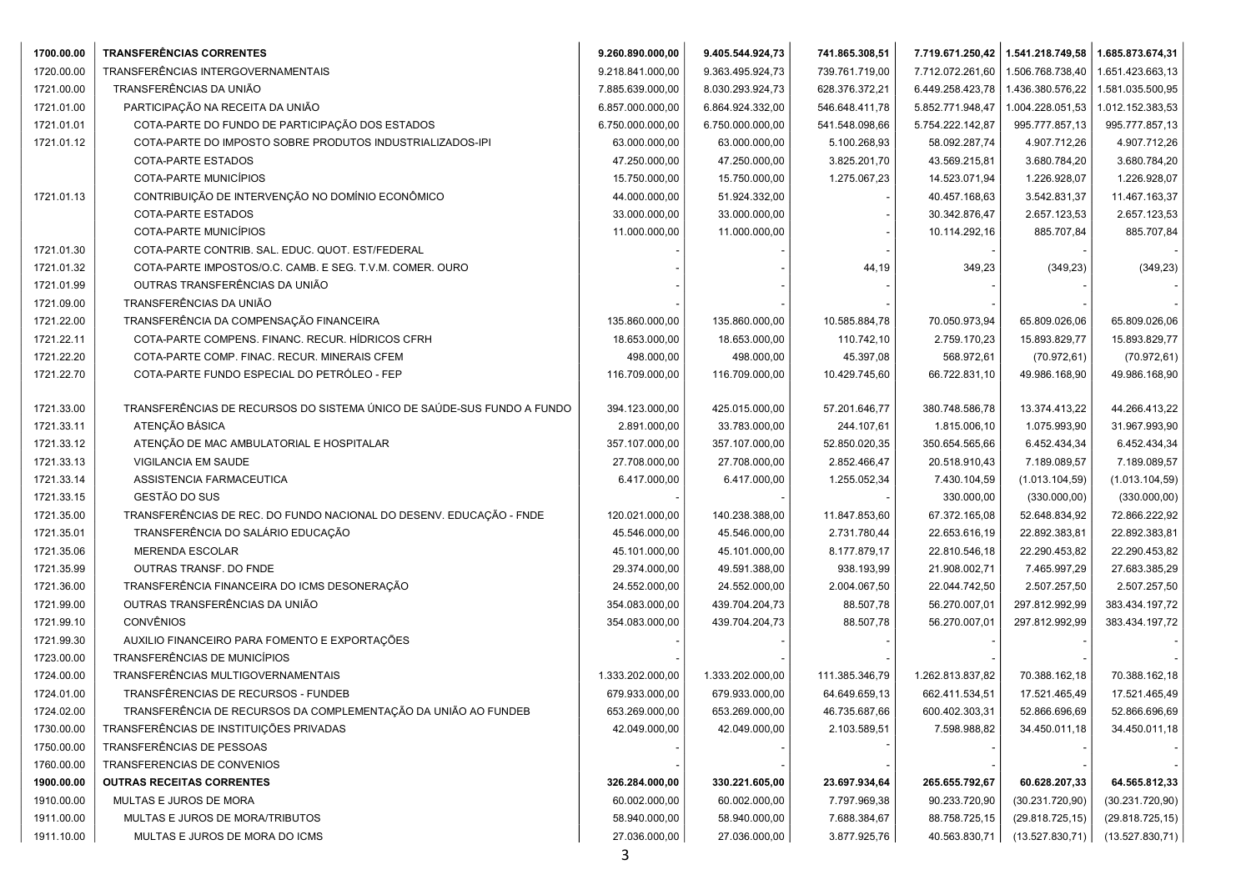| 1700.00.00 | <b>TRANSFERÊNCIAS CORRENTES</b>                                        | 9.260.890.000,00 | 9.405.544.924,73 | 741.865.308,51 |                  | 7.719.671.250,42   1.541.218.749,58 | 1.685.873.674,31 |
|------------|------------------------------------------------------------------------|------------------|------------------|----------------|------------------|-------------------------------------|------------------|
| 1720.00.00 | TRANSFERÊNCIAS INTERGOVERNAMENTAIS                                     | 9.218.841.000,00 | 9.363.495.924,73 | 739.761.719,00 | 7.712.072.261,60 | 1.506.768.738,40                    | 1.651.423.663,13 |
| 1721.00.00 | TRANSFERÊNCIAS DA UNIÃO                                                | 7.885.639.000,00 | 8.030.293.924,73 | 628.376.372,21 | 6.449.258.423,78 | 1.436.380.576,22                    | 1.581.035.500,95 |
| 1721.01.00 | PARTICIPAÇÃO NA RECEITA DA UNIÃO                                       | 6.857.000.000,00 | 6.864.924.332,00 | 546.648.411,78 | 5.852.771.948,47 | 1.004.228.051,53                    | 1.012.152.383,53 |
| 1721.01.01 | COTA-PARTE DO FUNDO DE PARTICIPAÇÃO DOS ESTADOS                        | 6.750.000.000,00 | 6.750.000.000,00 | 541.548.098,66 | 5.754.222.142,87 | 995.777.857,13                      | 995.777.857,13   |
| 1721.01.12 | COTA-PARTE DO IMPOSTO SOBRE PRODUTOS INDUSTRIALIZADOS-IPI              | 63.000.000,00    | 63.000.000,00    | 5.100.268,93   | 58.092.287,74    | 4.907.712,26                        | 4.907.712,26     |
|            | COTA-PARTE ESTADOS                                                     | 47.250.000,00    | 47.250.000,00    | 3.825.201,70   | 43.569.215,81    | 3.680.784,20                        | 3.680.784,20     |
|            | COTA-PARTE MUNICÍPIOS                                                  | 15.750.000,00    | 15.750.000,00    | 1.275.067,23   | 14.523.071,94    | 1.226.928,07                        | 1.226.928,07     |
| 1721.01.13 | CONTRIBUIÇÃO DE INTERVENÇÃO NO DOMÍNIO ECONÔMICO                       | 44.000.000,00    | 51.924.332,00    |                | 40.457.168,63    | 3.542.831,37                        | 11.467.163,37    |
|            | COTA-PARTE ESTADOS                                                     | 33.000.000,00    | 33.000.000,00    |                | 30.342.876,47    | 2.657.123,53                        | 2.657.123,53     |
|            | COTA-PARTE MUNICÍPIOS                                                  | 11.000.000,00    | 11.000.000,00    |                | 10.114.292,16    | 885.707,84                          | 885.707,84       |
| 1721.01.30 | COTA-PARTE CONTRIB. SAL. EDUC. QUOT. EST/FEDERAL                       |                  |                  |                |                  |                                     |                  |
| 1721.01.32 | COTA-PARTE IMPOSTOS/O.C. CAMB. E SEG. T.V.M. COMER. OURO               |                  |                  | 44,19          | 349,23           | (349, 23)                           | (349, 23)        |
| 1721.01.99 | OUTRAS TRANSFERÊNCIAS DA UNIÃO                                         |                  |                  |                |                  |                                     |                  |
| 1721.09.00 | TRANSFERÊNCIAS DA UNIÃO                                                |                  |                  |                |                  |                                     |                  |
| 1721.22.00 | TRANSFERÊNCIA DA COMPENSAÇÃO FINANCEIRA                                | 135.860.000,00   | 135.860.000,00   | 10.585.884,78  | 70.050.973,94    | 65.809.026,06                       | 65.809.026,06    |
| 1721.22.11 | COTA-PARTE COMPENS. FINANC. RECUR. HÍDRICOS CFRH                       | 18.653.000,00    | 18.653.000,00    | 110.742,10     | 2.759.170,23     | 15.893.829,77                       | 15.893.829,77    |
| 1721.22.20 | COTA-PARTE COMP. FINAC. RECUR. MINERAIS CFEM                           | 498.000,00       | 498.000,00       | 45.397,08      | 568.972,61       | (70.972, 61)                        | (70.972, 61)     |
| 1721.22.70 | COTA-PARTE FUNDO ESPECIAL DO PETRÓLEO - FEP                            | 116.709.000,00   | 116.709.000,00   | 10.429.745,60  | 66.722.831,10    | 49.986.168,90                       | 49.986.168,90    |
|            |                                                                        |                  |                  |                |                  |                                     |                  |
| 1721.33.00 | TRANSFERÊNCIAS DE RECURSOS DO SISTEMA ÚNICO DE SAÚDE-SUS FUNDO A FUNDO | 394.123.000,00   | 425.015.000,00   | 57.201.646,77  | 380.748.586,78   | 13.374.413,22                       | 44.266.413,22    |
| 1721.33.11 | ATENÇÃO BÁSICA                                                         | 2.891.000,00     | 33.783.000,00    | 244.107,61     | 1.815.006,10     | 1.075.993,90                        | 31.967.993,90    |
| 1721.33.12 | ATENÇÃO DE MAC AMBULATORIAL E HOSPITALAR                               | 357.107.000,00   | 357.107.000,00   | 52.850.020,35  | 350.654.565,66   | 6.452.434,34                        | 6.452.434,34     |
| 1721.33.13 | VIGILANCIA EM SAUDE                                                    | 27.708.000,00    | 27.708.000,00    | 2.852.466,47   | 20.518.910,43    | 7.189.089,57                        | 7.189.089,57     |
| 1721.33.14 | ASSISTENCIA FARMACEUTICA                                               | 6.417.000,00     | 6.417.000,00     | 1.255.052,34   | 7.430.104,59     | (1.013.104, 59)                     | (1.013.104, 59)  |
| 1721.33.15 | GESTÃO DO SUS                                                          |                  |                  |                | 330.000,00       | (330.000, 00)                       | (330.000, 00)    |
| 1721.35.00 | TRANSFERÊNCIAS DE REC. DO FUNDO NACIONAL DO DESENV. EDUCAÇÃO - FNDE    | 120.021.000,00   | 140.238.388,00   | 11.847.853,60  | 67.372.165,08    | 52.648.834,92                       | 72.866.222,92    |
| 1721.35.01 | TRANSFERÊNCIA DO SALÁRIO EDUCAÇÃO                                      | 45.546.000,00    | 45.546.000,00    | 2.731.780,44   | 22.653.616,19    | 22.892.383,81                       | 22.892.383,81    |
| 1721.35.06 | <b>MERENDA ESCOLAR</b>                                                 | 45.101.000,00    | 45.101.000,00    | 8.177.879,17   | 22.810.546,18    | 22.290.453,82                       | 22.290.453,82    |
| 1721.35.99 | OUTRAS TRANSF. DO FNDE                                                 | 29.374.000,00    | 49.591.388,00    | 938.193,99     | 21.908.002,71    | 7.465.997,29                        | 27.683.385,29    |
| 1721.36.00 | TRANSFERÊNCIA FINANCEIRA DO ICMS DESONERAÇÃO                           | 24.552.000,00    | 24.552.000,00    | 2.004.067,50   | 22.044.742,50    | 2.507.257,50                        | 2.507.257,50     |
| 1721.99.00 | OUTRAS TRANSFERÊNCIAS DA UNIÃO                                         | 354.083.000,00   | 439.704.204,73   | 88.507,78      | 56.270.007,01    | 297.812.992,99                      | 383.434.197,72   |
| 1721.99.10 | <b>CONVÊNIOS</b>                                                       | 354.083.000,00   | 439.704.204,73   | 88.507,78      | 56.270.007,01    | 297.812.992,99                      | 383.434.197,72   |
| 1721.99.30 | AUXILIO FINANCEIRO PARA FOMENTO E EXPORTAÇÕES                          |                  |                  |                |                  |                                     |                  |
| 1723.00.00 | TRANSFERÊNCIAS DE MUNICÍPIOS                                           |                  |                  |                |                  |                                     |                  |
| 1724.00.00 | TRANSFERÊNCIAS MULTIGOVERNAMENTAIS                                     | 1.333.202.000,00 | 1.333.202.000,00 | 111.385.346,79 | 1.262.813.837,82 | 70.388.162,18                       | 70.388.162,18    |
| 1724.01.00 | TRANSFÊRENCIAS DE RECURSOS - FUNDEB                                    | 679.933.000,00   | 679.933.000,00   | 64.649.659,13  | 662.411.534,51   | 17.521.465,49                       | 17.521.465,49    |
| 1724.02.00 | TRANSFERÊNCIA DE RECURSOS DA COMPLEMENTAÇÃO DA UNIÃO AO FUNDEB         | 653.269.000,00   | 653.269.000,00   | 46.735.687,66  | 600.402.303,31   | 52.866.696,69                       | 52.866.696,69    |
| 1730.00.00 | TRANSFERÊNCIAS DE INSTITUIÇÕES PRIVADAS                                | 42.049.000,00    | 42.049.000,00    | 2.103.589,51   | 7.598.988,82     | 34.450.011,18                       | 34.450.011,18    |
| 1750.00.00 | TRANSFERÊNCIAS DE PESSOAS                                              |                  |                  |                |                  |                                     |                  |
| 1760.00.00 | TRANSFERENCIAS DE CONVENIOS                                            |                  |                  |                |                  |                                     |                  |
| 1900.00.00 | <b>OUTRAS RECEITAS CORRENTES</b>                                       | 326.284.000,00   | 330.221.605,00   | 23.697.934,64  | 265.655.792,67   | 60.628.207,33                       | 64.565.812,33    |
| 1910.00.00 | MULTAS E JUROS DE MORA                                                 | 60.002.000,00    | 60.002.000,00    | 7.797.969,38   | 90.233.720,90    | (30.231.720,90)                     | (30.231.720,90)  |
| 1911.00.00 | MULTAS E JUROS DE MORA/TRIBUTOS                                        | 58.940.000,00    | 58.940.000,00    | 7.688.384,67   | 88.758.725,15    | (29.818.725, 15)                    | (29.818.725, 15) |
| 1911.10.00 | MULTAS E JUROS DE MORA DO ICMS                                         | 27.036.000,00    | 27.036.000,00    | 3.877.925,76   | 40.563.830,71    | (13.527.830,71)                     | (13.527.830,71)  |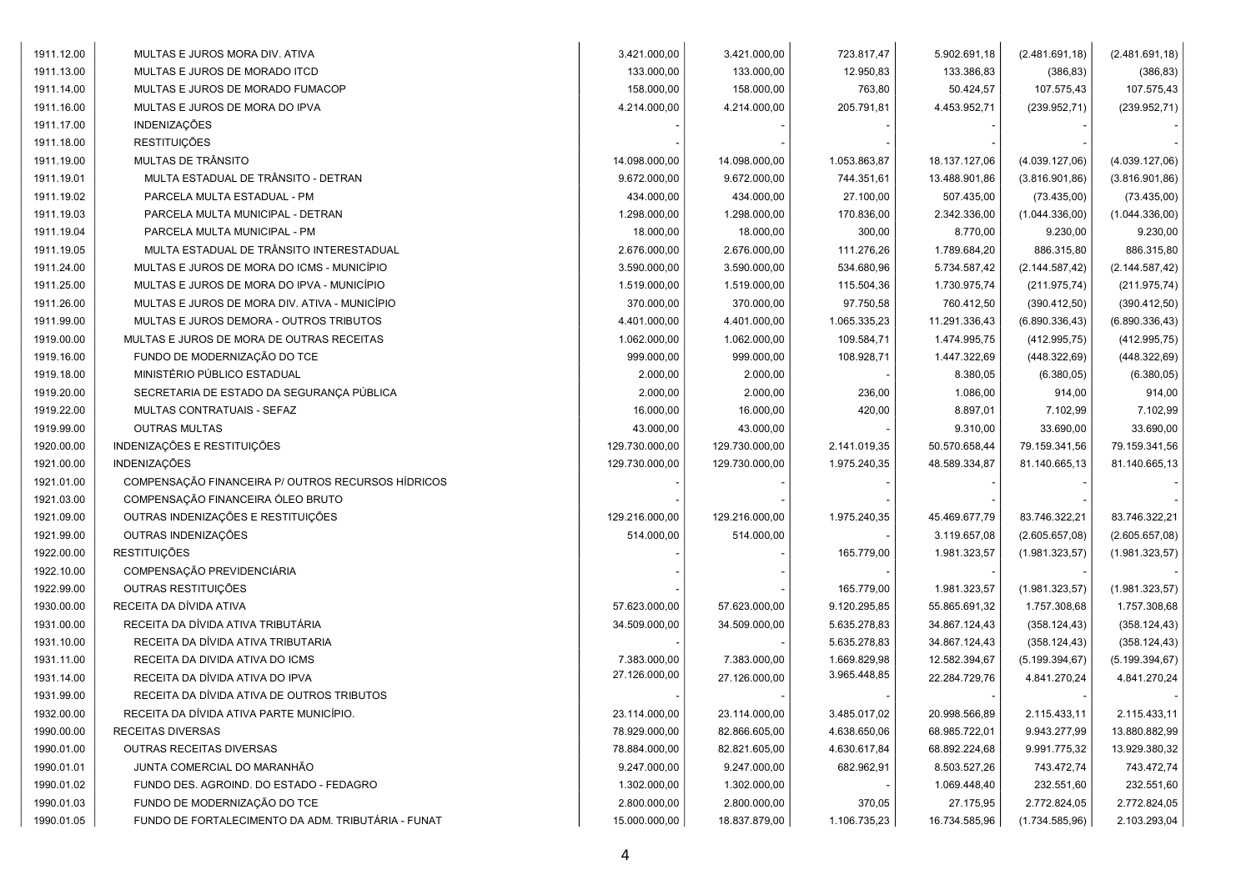| 1911.12.00 | MULTAS E JUROS MORA DIV. ATIVA                     | 3.421.000,00   | 3.421.000,00   | 723.817,47   | 5.902.691,18  | (2.481.691, 18) | (2.481.691, 18) |
|------------|----------------------------------------------------|----------------|----------------|--------------|---------------|-----------------|-----------------|
| 1911.13.00 | MULTAS E JUROS DE MORADO ITCD                      | 133.000,00     | 133.000,00     | 12.950,83    | 133.386,83    | (386, 83)       | (386, 83)       |
| 1911.14.00 | MULTAS E JUROS DE MORADO FUMACOP                   | 158.000,00     | 158.000,00     | 763,80       | 50.424,57     | 107.575,43      | 107.575,43      |
| 1911.16.00 | MULTAS E JUROS DE MORA DO IPVA                     | 4.214.000,00   | 4.214.000,00   | 205.791,81   | 4.453.952,71  | (239.952, 71)   | (239.952, 71)   |
| 1911.17.00 | <b>INDENIZAÇÕES</b>                                |                |                |              |               |                 |                 |
| 1911.18.00 | <b>RESTITUIÇÕES</b>                                |                |                |              |               |                 |                 |
| 1911.19.00 | MULTAS DE TRÂNSITO                                 | 14.098.000,00  | 14.098.000,00  | 1.053.863,87 | 18.137.127,06 | (4.039.127,06)  | (4.039.127,06)  |
| 1911.19.01 | MULTA ESTADUAL DE TRÂNSITO - DETRAN                | 9.672.000,00   | 9.672.000,00   | 744.351,61   | 13.488.901,86 | (3.816.901, 86) | (3.816.901, 86) |
| 1911.19.02 | PARCELA MULTA ESTADUAL - PM                        | 434.000,00     | 434.000,00     | 27.100,00    | 507.435,00    | (73.435,00)     | (73.435,00)     |
| 1911.19.03 | PARCELA MULTA MUNICIPAL - DETRAN                   | 1.298.000,00   | 1.298.000,00   | 170.836,00   | 2.342.336,00  | (1.044.336,00)  | (1.044.336,00)  |
| 1911.19.04 | PARCELA MULTA MUNICIPAL - PM                       | 18.000,00      | 18.000,00      | 300,00       | 8.770,00      | 9.230,00        | 9.230,00        |
| 1911.19.05 | MULTA ESTADUAL DE TRÂNSITO INTERESTADUAL           | 2.676.000,00   | 2.676.000,00   | 111.276,26   | 1.789.684,20  | 886.315,80      | 886.315,80      |
| 1911.24.00 | MULTAS E JUROS DE MORA DO ICMS - MUNICÍPIO         | 3.590.000,00   | 3.590.000,00   | 534.680,96   | 5.734.587,42  | (2.144.587, 42) | (2.144.587, 42) |
| 1911.25.00 | MULTAS E JUROS DE MORA DO IPVA - MUNICÍPIO         | 1.519.000,00   | 1.519.000,00   | 115.504,36   | 1.730.975,74  | (211.975, 74)   | (211.975, 74)   |
| 1911.26.00 | MULTAS E JUROS DE MORA DIV. ATIVA - MUNICÍPIO      | 370.000,00     | 370.000,00     | 97.750,58    | 760.412,50    | (390.412,50)    | (390.412,50)    |
| 1911.99.00 | MULTAS E JUROS DEMORA - OUTROS TRIBUTOS            | 4.401.000,00   | 4.401.000,00   | 1.065.335,23 | 11.291.336,43 | (6.890.336, 43) | (6.890.336, 43) |
| 1919.00.00 | MULTAS E JUROS DE MORA DE OUTRAS RECEITAS          | 1.062.000,00   | 1.062.000,00   | 109.584,71   | 1.474.995,75  | (412.995,75)    | (412.995,75)    |
| 1919.16.00 | FUNDO DE MODERNIZAÇÃO DO TCE                       | 999.000,00     | 999.000,00     | 108.928,71   | 1.447.322,69  | (448.322,69)    | (448.322,69)    |
| 1919.18.00 | MINISTÉRIO PÚBLICO ESTADUAL                        | 2.000,00       | 2.000,00       |              | 8.380,05      | (6.380, 05)     | (6.380, 05)     |
| 1919.20.00 | SECRETARIA DE ESTADO DA SEGURANÇA PÚBLICA          | 2.000,00       | 2.000,00       | 236,00       | 1.086,00      | 914,00          | 914,00          |
| 1919.22.00 | MULTAS CONTRATUAIS - SEFAZ                         | 16.000,00      | 16.000,00      | 420,00       | 8.897,01      | 7.102,99        | 7.102,99        |
| 1919.99.00 | <b>OUTRAS MULTAS</b>                               | 43.000,00      | 43.000,00      |              | 9.310,00      | 33.690,00       | 33.690,00       |
| 1920.00.00 | INDENIZAÇÕES E RESTITUIÇÕES                        | 129.730.000,00 | 129.730.000,00 | 2.141.019,35 | 50.570.658,44 | 79.159.341,56   | 79.159.341,56   |
| 1921.00.00 | <b>INDENIZAÇÕES</b>                                | 129.730.000,00 | 129.730.000,00 | 1.975.240,35 | 48.589.334,87 | 81.140.665,13   | 81.140.665,13   |
| 1921.01.00 | COMPENSAÇÃO FINANCEIRA P/ OUTROS RECURSOS HÍDRICOS |                |                |              |               |                 |                 |
| 1921.03.00 | COMPENSAÇÃO FINANCEIRA ÓLEO BRUTO                  |                |                |              |               |                 |                 |
| 1921.09.00 | OUTRAS INDENIZAÇÕES E RESTITUIÇÕES                 | 129.216.000,00 | 129.216.000,00 | 1.975.240,35 | 45.469.677,79 | 83.746.322,21   | 83.746.322,21   |
| 1921.99.00 | OUTRAS INDENIZAÇÕES                                | 514.000,00     | 514.000,00     |              | 3.119.657,08  | (2.605.657,08)  | (2.605.657,08)  |
| 1922.00.00 | <b>RESTITUIÇÕES</b>                                |                |                | 165.779,00   | 1.981.323,57  | (1.981.323, 57) | (1.981.323, 57) |
| 1922.10.00 | COMPENSAÇÃO PREVIDENCIÁRIA                         |                |                |              |               |                 |                 |
| 1922.99.00 | OUTRAS RESTITUIÇÕES                                |                |                | 165.779,00   | 1.981.323,57  | (1.981.323, 57) | (1.981.323,57)  |
| 1930.00.00 | RECEITA DA DÍVIDA ATIVA                            | 57.623.000,00  | 57.623.000,00  | 9.120.295,85 | 55.865.691,32 | 1.757.308,68    | 1.757.308,68    |
| 1931.00.00 | RECEITA DA DÍVIDA ATIVA TRIBUTÁRIA                 | 34.509.000,00  | 34.509.000,00  | 5.635.278,83 | 34.867.124,43 | (358.124, 43)   | (358.124, 43)   |
| 1931.10.00 | RECEITA DA DÍVIDA ATIVA TRIBUTARIA                 |                |                | 5.635.278,83 | 34.867.124,43 | (358.124, 43)   | (358.124, 43)   |
| 1931.11.00 | RECEITA DA DIVIDA ATIVA DO ICMS                    | 7.383.000,00   | 7.383.000,00   | 1.669.829,98 | 12.582.394,67 | (5.199.394, 67) | (5.199.394, 67) |
| 1931.14.00 | RECEITA DA DÍVIDA ATIVA DO IPVA                    | 27.126.000,00  | 27.126.000,00  | 3.965.448,85 | 22.284.729,76 | 4.841.270,24    | 4.841.270,24    |
| 1931.99.00 | RECEITA DA DÍVIDA ATIVA DE OUTROS TRIBUTOS         |                |                |              |               |                 |                 |
| 1932.00.00 | RECEITA DA DÍVIDA ATIVA PARTE MUNICÍPIO.           | 23.114.000,00  | 23.114.000,00  | 3.485.017,02 | 20.998.566,89 | 2.115.433,11    | 2.115.433,11    |
| 1990.00.00 | <b>RECEITAS DIVERSAS</b>                           | 78.929.000,00  | 82.866.605,00  | 4.638.650,06 | 68.985.722,01 | 9.943.277,99    | 13.880.882,99   |
| 1990.01.00 | <b>OUTRAS RECEITAS DIVERSAS</b>                    | 78.884.000,00  | 82.821.605,00  | 4.630.617,84 | 68.892.224,68 | 9.991.775,32    | 13.929.380,32   |
| 1990.01.01 | JUNTA COMERCIAL DO MARANHÃO                        | 9.247.000,00   | 9.247.000,00   | 682.962,91   | 8.503.527,26  | 743.472,74      | 743.472,74      |
| 1990.01.02 | FUNDO DES. AGROIND. DO ESTADO - FEDAGRO            | 1.302.000,00   | 1.302.000,00   |              | 1.069.448,40  | 232.551,60      | 232.551,60      |
| 1990.01.03 | FUNDO DE MODERNIZAÇÃO DO TCE                       | 2.800.000,00   | 2.800.000,00   | 370,05       | 27.175,95     | 2.772.824,05    | 2.772.824,05    |
| 1990.01.05 | FUNDO DE FORTALECIMENTO DA ADM. TRIBUTÁRIA - FUNAT | 15.000.000,00  | 18.837.879,00  | 1.106.735,23 | 16.734.585,96 | (1.734.585,96)  | 2.103.293,04    |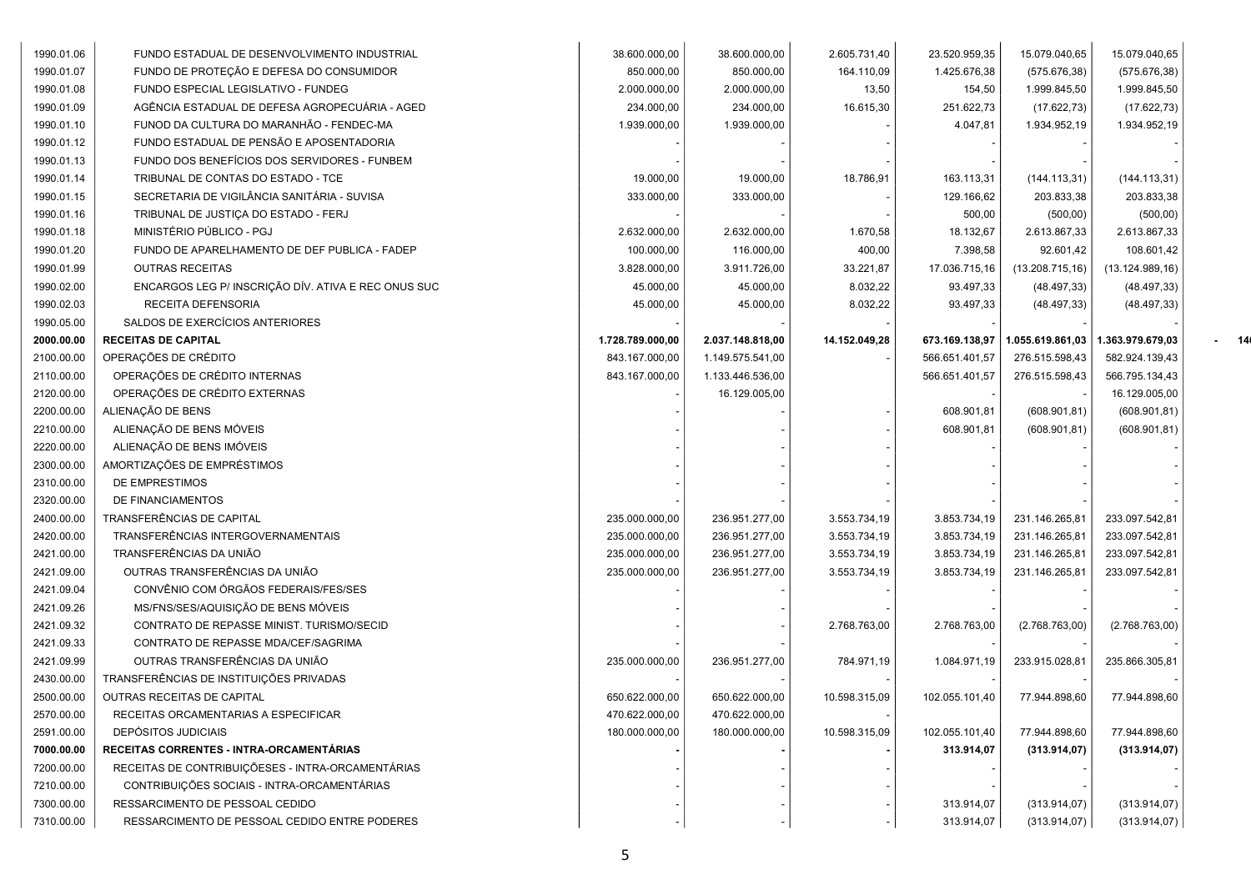| 1990.01.06 | FUNDO ESTADUAL DE DESENVOLVIMENTO INDUSTRIAL        | 38.600.000,00    | 38.600.000,00    | 2.605.731,40  | 23.520.959,35  | 15.079.040,65    | 15.079.040,65    |    |
|------------|-----------------------------------------------------|------------------|------------------|---------------|----------------|------------------|------------------|----|
| 1990.01.07 | FUNDO DE PROTEÇÃO E DEFESA DO CONSUMIDOR            | 850.000,00       | 850.000,00       | 164.110,09    | 1.425.676,38   | (575.676,38)     | (575.676,38)     |    |
| 1990.01.08 | FUNDO ESPECIAL LEGISLATIVO - FUNDEG                 | 2.000.000,00     | 2.000.000,00     | 13,50         | 154,50         | 1.999.845,50     | 1.999.845,50     |    |
| 1990.01.09 | AGÊNCIA ESTADUAL DE DEFESA AGROPECUÁRIA - AGED      | 234.000,00       | 234.000,00       | 16.615,30     | 251.622,73     | (17.622, 73)     | (17.622, 73)     |    |
| 1990.01.10 | FUNOD DA CULTURA DO MARANHÃO - FENDEC-MA            | 1.939.000,00     | 1.939.000,00     |               | 4.047,81       | 1.934.952,19     | 1.934.952,19     |    |
| 1990.01.12 | FUNDO ESTADUAL DE PENSÃO E APOSENTADORIA            |                  |                  |               |                |                  |                  |    |
| 1990.01.13 | FUNDO DOS BENEFÍCIOS DOS SERVIDORES - FUNBEM        |                  |                  |               |                |                  |                  |    |
| 1990.01.14 | TRIBUNAL DE CONTAS DO ESTADO - TCE                  | 19.000,00        | 19.000,00        | 18.786,91     | 163.113,31     | (144.113,31)     | (144.113,31)     |    |
| 1990.01.15 | SECRETARIA DE VIGILÂNCIA SANITÁRIA - SUVISA         | 333.000,00       | 333.000,00       |               | 129.166,62     | 203.833,38       | 203.833,38       |    |
| 1990.01.16 | TRIBUNAL DE JUSTIÇA DO ESTADO - FERJ                |                  |                  |               | 500,00         | (500, 00)        | (500, 00)        |    |
| 1990.01.18 | MINISTÉRIO PÚBLICO - PGJ                            | 2.632.000,00     | 2.632.000,00     | 1.670,58      | 18.132,67      | 2.613.867,33     | 2.613.867,33     |    |
| 1990.01.20 | FUNDO DE APARELHAMENTO DE DEF PUBLICA - FADEP       | 100.000,00       | 116.000,00       | 400,00        | 7.398,58       | 92.601,42        | 108.601,42       |    |
| 1990.01.99 | <b>OUTRAS RECEITAS</b>                              | 3.828.000,00     | 3.911.726,00     | 33.221,87     | 17.036.715,16  | (13.208.715, 16) | (13.124.989, 16) |    |
| 1990.02.00 | ENCARGOS LEG P/ INSCRIÇÃO DÍV. ATIVA E REC ONUS SUC | 45.000,00        | 45.000,00        | 8.032,22      | 93.497,33      | (48.497, 33)     | (48.497, 33)     |    |
| 1990.02.03 | RECEITA DEFENSORIA                                  | 45.000,00        | 45.000,00        | 8.032,22      | 93.497,33      | (48.497, 33)     | (48.497, 33)     |    |
| 1990.05.00 | SALDOS DE EXERCÍCIOS ANTERIORES                     |                  |                  |               |                |                  |                  |    |
| 2000.00.00 | <b>RECEITAS DE CAPITAL</b>                          | 1.728.789.000,00 | 2.037.148.818,00 | 14.152.049,28 | 673.169.138,97 | 1.055.619.861,03 | 1.363.979.679,03 | 14 |
| 2100.00.00 | OPERAÇÕES DE CRÉDITO                                | 843.167.000,00   | 1.149.575.541,00 |               | 566.651.401,57 | 276.515.598,43   | 582.924.139,43   |    |
| 2110.00.00 | OPERAÇÕES DE CRÉDITO INTERNAS                       | 843.167.000,00   | 1.133.446.536,00 |               | 566.651.401,57 | 276.515.598,43   | 566.795.134,43   |    |
| 2120.00.00 | OPERAÇÕES DE CRÉDITO EXTERNAS                       |                  | 16.129.005,00    |               |                |                  | 16.129.005,00    |    |
| 2200.00.00 | ALIENAÇÃO DE BENS                                   |                  |                  |               | 608.901,81     | (608.901, 81)    | (608.901, 81)    |    |
| 2210.00.00 | ALIENAÇÃO DE BENS MÓVEIS                            |                  |                  |               | 608.901,81     | (608.901, 81)    | (608.901, 81)    |    |
| 2220.00.00 | ALIENAÇÃO DE BENS IMÓVEIS                           |                  |                  |               |                |                  |                  |    |
| 2300.00.00 | AMORTIZAÇÕES DE EMPRÉSTIMOS                         |                  |                  |               |                |                  |                  |    |
| 2310.00.00 | DE EMPRESTIMOS                                      |                  |                  |               |                |                  |                  |    |
| 2320.00.00 | DE FINANCIAMENTOS                                   |                  |                  |               |                |                  |                  |    |
| 2400.00.00 | TRANSFERÊNCIAS DE CAPITAL                           | 235.000.000,00   | 236.951.277,00   | 3.553.734,19  | 3.853.734,19   | 231.146.265,81   | 233.097.542,81   |    |
| 2420.00.00 | TRANSFERÊNCIAS INTERGOVERNAMENTAIS                  | 235.000.000,00   | 236.951.277,00   | 3.553.734,19  | 3.853.734,19   | 231.146.265,81   | 233.097.542,81   |    |
| 2421.00.00 | TRANSFERÊNCIAS DA UNIÃO                             | 235.000.000,00   | 236.951.277,00   | 3.553.734,19  | 3.853.734,19   | 231.146.265,81   | 233.097.542,81   |    |
| 2421.09.00 | OUTRAS TRANSFERÊNCIAS DA UNIÃO                      | 235.000.000,00   | 236.951.277,00   | 3.553.734,19  | 3.853.734,19   | 231.146.265,81   | 233.097.542,81   |    |
| 2421.09.04 | CONVÊNIO COM ÓRGÃOS FEDERAIS/FES/SES                |                  |                  |               |                |                  |                  |    |
| 2421.09.26 | MS/FNS/SES/AQUISIÇÃO DE BENS MÓVEIS                 |                  |                  |               |                |                  |                  |    |
| 2421.09.32 | CONTRATO DE REPASSE MINIST. TURISMO/SECID           |                  |                  | 2.768.763,00  | 2.768.763,00   | (2.768.763,00)   | (2.768.763,00)   |    |
| 2421.09.33 | CONTRATO DE REPASSE MDA/CEF/SAGRIMA                 |                  |                  |               |                |                  |                  |    |
| 2421.09.99 | OUTRAS TRANSFERÊNCIAS DA UNIÃO                      | 235.000.000,00   | 236.951.277,00   | 784.971,19    | 1.084.971,19   | 233.915.028,81   | 235.866.305,81   |    |
| 2430.00.00 | TRANSFERÊNCIAS DE INSTITUIÇÕES PRIVADAS             |                  |                  |               |                |                  |                  |    |
| 2500.00.00 | OUTRAS RECEITAS DE CAPITAL                          | 650.622.000,00   | 650.622.000,00   | 10.598.315,09 | 102.055.101,40 | 77.944.898,60    | 77.944.898,60    |    |
| 2570.00.00 | RECEITAS ORCAMENTARIAS A ESPECIFICAR                | 470.622.000,00   | 470.622.000,00   |               |                |                  |                  |    |
| 2591.00.00 | <b>DEPÓSITOS JUDICIAIS</b>                          | 180.000.000,00   | 180.000.000,00   | 10.598.315,09 | 102.055.101,40 | 77.944.898,60    | 77.944.898,60    |    |
| 7000.00.00 | RECEITAS CORRENTES - INTRA-ORCAMENTÁRIAS            |                  |                  |               | 313.914,07     | (313.914, 07)    | (313.914, 07)    |    |
| 7200.00.00 | RECEITAS DE CONTRIBUIÇÕESES - INTRA-ORCAMENTÁRIAS   |                  |                  |               |                |                  |                  |    |
| 7210.00.00 | CONTRIBUIÇÕES SOCIAIS - INTRA-ORCAMENTÁRIAS         |                  |                  |               |                |                  |                  |    |
| 7300.00.00 | RESSARCIMENTO DE PESSOAL CEDIDO                     |                  |                  |               | 313.914,07     | (313.914,07)     | (313.914,07)     |    |
| 7310.00.00 | RESSARCIMENTO DE PESSOAL CEDIDO ENTRE PODERES       |                  |                  |               | 313.914,07     | (313.914,07)     | (313.914, 07)    |    |